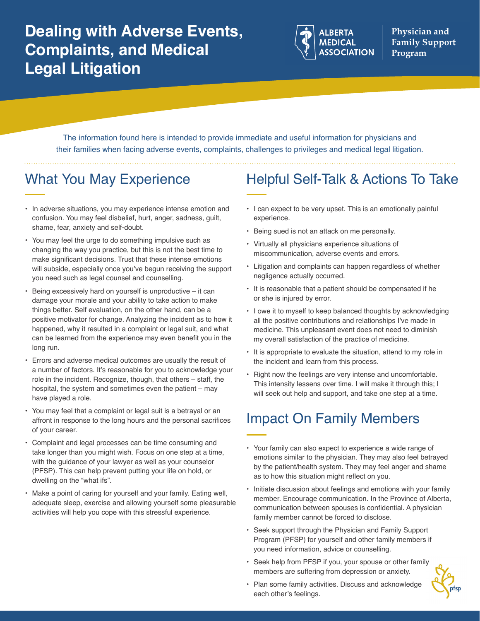

**Physician and Family Support Program**

The information found here is intended to provide immediate and useful information for physicians and their families when facing adverse events, complaints, challenges to privileges and medical legal litigation.

# What You May Experience

- In adverse situations, you may experience intense emotion and confusion. You may feel disbelief, hurt, anger, sadness, guilt, shame, fear, anxiety and self-doubt.
- You may feel the urge to do something impulsive such as changing the way you practice, but this is not the best time to make significant decisions. Trust that these intense emotions will subside, especially once you've begun receiving the support you need such as legal counsel and counselling.
- Being excessively hard on yourself is unproductive  $-$  it can damage your morale and your ability to take action to make things better. Self evaluation, on the other hand, can be a positive motivator for change. Analyzing the incident as to how it happened, why it resulted in a complaint or legal suit, and what can be learned from the experience may even benefit you in the long run.
- Errors and adverse medical outcomes are usually the result of a number of factors. It's reasonable for you to acknowledge your role in the incident. Recognize, though, that others – staff, the hospital, the system and sometimes even the patient – may have played a role.
- You may feel that a complaint or legal suit is a betrayal or an affront in response to the long hours and the personal sacrifices of your career.
- Complaint and legal processes can be time consuming and take longer than you might wish. Focus on one step at a time, with the guidance of your lawyer as well as your counselor (PFSP). This can help prevent putting your life on hold, or dwelling on the "what ifs".
- Make a point of caring for yourself and your family. Eating well, adequate sleep, exercise and allowing yourself some pleasurable activities will help you cope with this stressful experience.

### Helpful Self-Talk & Actions To Take

- I can expect to be very upset. This is an emotionally painful experience.
- Being sued is not an attack on me personally.
- Virtually all physicians experience situations of miscommunication, adverse events and errors.
- Litigation and complaints can happen regardless of whether negligence actually occurred.
- It is reasonable that a patient should be compensated if he or she is injured by error.
- I owe it to myself to keep balanced thoughts by acknowledging all the positive contributions and relationships I've made in medicine. This unpleasant event does not need to diminish my overall satisfaction of the practice of medicine.
- It is appropriate to evaluate the situation, attend to my role in the incident and learn from this process.
- Right now the feelings are very intense and uncomfortable. This intensity lessens over time. I will make it through this; I will seek out help and support, and take one step at a time.

# Impact On Family Members

- Your family can also expect to experience a wide range of emotions similar to the physician. They may also feel betrayed by the patient/health system. They may feel anger and shame as to how this situation might reflect on you.
- Initiate discussion about feelings and emotions with your family member. Encourage communication. In the Province of Alberta, communication between spouses is confidential. A physician family member cannot be forced to disclose.
- Seek support through the Physician and Family Support Program (PFSP) for yourself and other family members if you need information, advice or counselling.
- Seek help from PFSP if you, your spouse or other family members are suffering from depression or anxiety.
- Plan some family activities. Discuss and acknowledge each other's feelings.